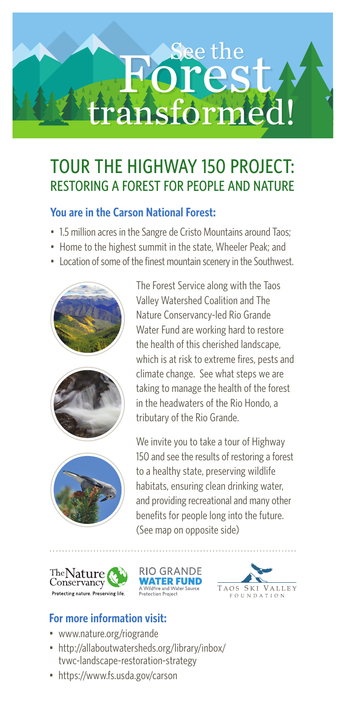# transformed! Forest

## TOUR THE HIGHWAY 150 PROJECT: RESTORING A FOREST FOR PEOPLE AND NATURE

### **You are in the Carson National Forest:**

- 1.5 million acres in the Sangre de Cristo Mountains around Taos:
- Home to the highest summit in the state, Wheeler Peak; and
- Location of some of the finest mountain scenery in the Southwest.







The Forest Service along with the Taos Valley Watershed Coalition and The Nature Conservancy-led Rio Grande Water Fund are working hard to restore the health of this cherished landscape, which is at risk to extreme fires, pests and climate change. See what steps we are taking to manage the health of the forest in the headwaters of the Rio Hondo, a tributary of the Rio Grande.

We invite you to take a tour of Highway 150 and see the results of restoring a forest to a healthy state, preserving wildlife habitats, ensuring clean drinking water, and providing recreational and many other benefits for people long into the future. (See map on opposite side)







### **For more information visit:**

- www.nature.org/riogrande
- http://allaboutwatersheds.org/library/inbox/ tvwc-landscape-restoration-strategy
- https://www.fs.usda.gov/carson